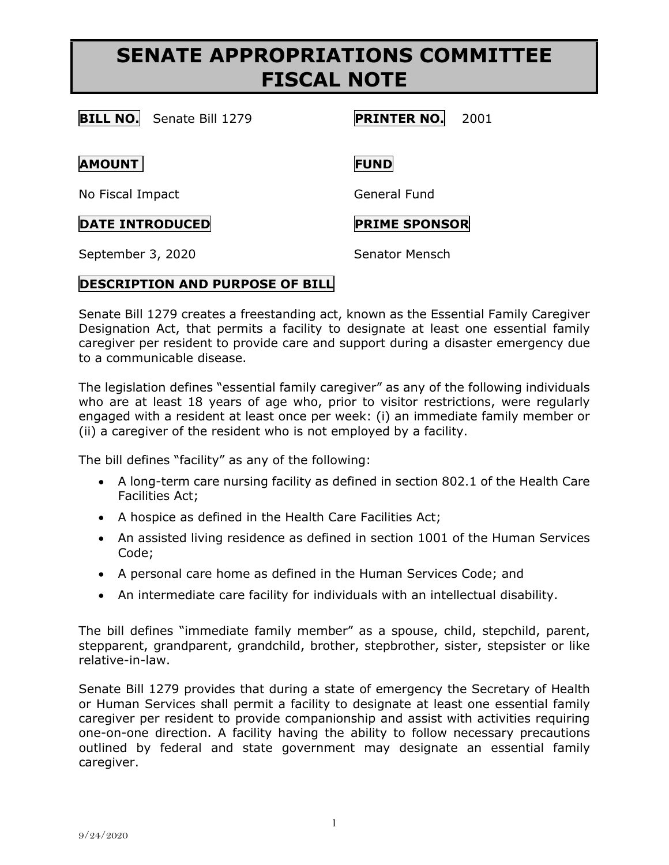# **SENATE APPROPRIATIONS COMMITTEE FISCAL NOTE**

## **BILL NO.** Senate Bill 1279 **PRINTER NO.** 2001

#### **AMOUNT FUND**

No Fiscal Impact General Fund

### **DATE INTRODUCED PRIME SPONSOR**

September 3, 2020 Senator Mensch

### **DESCRIPTION AND PURPOSE OF BILL**

Senate Bill 1279 creates a freestanding act, known as the Essential Family Caregiver Designation Act, that permits a facility to designate at least one essential family caregiver per resident to provide care and support during a disaster emergency due to a communicable disease.

The legislation defines "essential family caregiver" as any of the following individuals who are at least 18 years of age who, prior to visitor restrictions, were regularly engaged with a resident at least once per week: (i) an immediate family member or (ii) a caregiver of the resident who is not employed by a facility.

The bill defines "facility" as any of the following:

- A long-term care nursing facility as defined in section 802.1 of the Health Care Facilities Act;
- A hospice as defined in the Health Care Facilities Act;
- An assisted living residence as defined in section 1001 of the Human Services Code;
- A personal care home as defined in the Human Services Code; and
- An intermediate care facility for individuals with an intellectual disability.

The bill defines "immediate family member" as a spouse, child, stepchild, parent, stepparent, grandparent, grandchild, brother, stepbrother, sister, stepsister or like relative-in-law.

Senate Bill 1279 provides that during a state of emergency the Secretary of Health or Human Services shall permit a facility to designate at least one essential family caregiver per resident to provide companionship and assist with activities requiring one-on-one direction. A facility having the ability to follow necessary precautions outlined by federal and state government may designate an essential family caregiver.